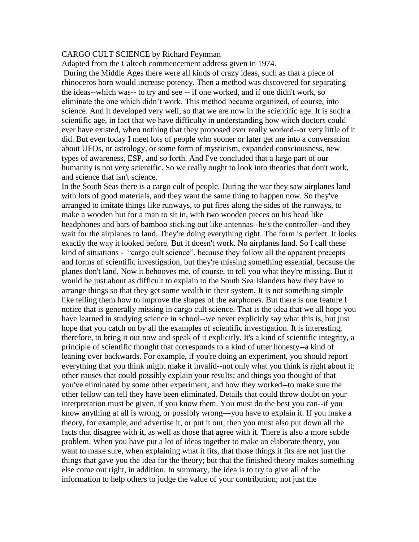## CARGO CULT SCIENCE by Richard Feynman

Adapted from the Caltech commencement address given in 1974.

During the Middle Ages there were all kinds of crazy ideas, such as that a piece of rhinoceros horn would increase potency. Then a method was discovered for separating the ideas--which was-- to try and see -- if one worked, and if one didn't work, so eliminate the one which didn't work. This method became organized, of course, into science. And it developed very well, so that we are now in the scientific age. It is such a scientific age, in fact that we have difficulty in understanding how witch doctors could ever have existed, when nothing that they proposed ever really worked--or very little of it did. But even today I meet lots of people who sooner or later get me into a conversation about UFOs, or astrology, or some form of mysticism, expanded consciousness, new types of awareness, ESP, and so forth. And I've concluded that a large part of our humanity is not very scientific. So we really ought to look into theories that don't work, and science that isn't science.

In the South Seas there is a cargo cult of people. During the war they saw airplanes land with lots of good materials, and they want the same thing to happen now. So they've arranged to imitate things like runways, to put fires along the sides of the runways, to make a wooden hut for a man to sit in, with two wooden pieces on his head like headphones and bars of bamboo sticking out like antennas--he's the controller--and they wait for the airplanes to land. They're doing everything right. The form is perfect. It looks exactly the way it looked before. But it doesn't work. No airplanes land. So I call these kind of situations - "cargo cult science", because they follow all the apparent precepts and forms of scientific investigation, but they're missing something essential, because the planes don't land. Now it behooves me, of course, to tell you what they're missing. But it would be just about as difficult to explain to the South Sea Islanders how they have to arrange things so that they get some wealth in their system. It is not something simple like telling them how to improve the shapes of the earphones. But there is one feature I notice that is generally missing in cargo cult science. That is the idea that we all hope you have learned in studying science in school--we never explicitly say what this is, but just hope that you catch on by all the examples of scientific investigation. It is interesting, therefore, to bring it out now and speak of it explicitly. It's a kind of scientific integrity, a principle of scientific thought that corresponds to a kind of utter honesty--a kind of leaning over backwards. For example, if you're doing an experiment, you should report everything that you think might make it invalid--not only what you think is right about it: other causes that could possibly explain your results; and things you thought of that you've eliminated by some other experiment, and how they worked--to make sure the other fellow can tell they have been eliminated. Details that could throw doubt on your interpretation must be given, if you know them. You must do the best you can--if you know anything at all is wrong, or possibly wrong—you have to explain it. If you make a theory, for example, and advertise it, or put it out, then you must also put down all the facts that disagree with it, as well as those that agree with it. There is also a more subtle problem. When you have put a lot of ideas together to make an elaborate theory, you want to make sure, when explaining what it fits, that those things it fits are not just the things that gave you the idea for the theory; but that the finished theory makes something else come out right, in addition. In summary, the idea is to try to give all of the information to help others to judge the value of your contribution; not just the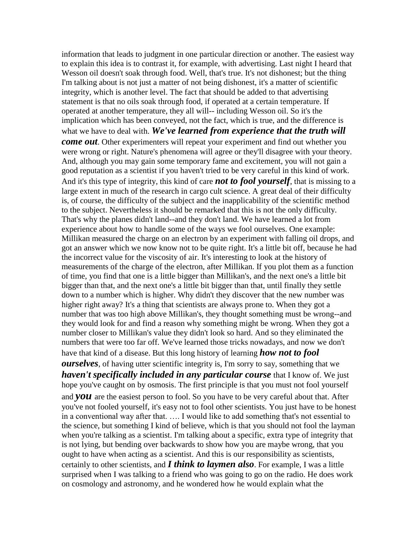information that leads to judgment in one particular direction or another. The easiest way to explain this idea is to contrast it, for example, with advertising. Last night I heard that Wesson oil doesn't soak through food. Well, that's true. It's not dishonest; but the thing I'm talking about is not just a matter of not being dishonest, it's a matter of scientific integrity, which is another level. The fact that should be added to that advertising statement is that no oils soak through food, if operated at a certain temperature. If operated at another temperature, they all will-- including Wesson oil. So it's the implication which has been conveyed, not the fact, which is true, and the difference is what we have to deal with. *We've learned from experience that the truth will come out*. Other experimenters will repeat your experiment and find out whether you were wrong or right. Nature's phenomena will agree or they'll disagree with your theory. And, although you may gain some temporary fame and excitement, you will not gain a good reputation as a scientist if you haven't tried to be very careful in this kind of work. And it's this type of integrity, this kind of care *not to fool yourself*, that is missing to a large extent in much of the research in cargo cult science. A great deal of their difficulty is, of course, the difficulty of the subject and the inapplicability of the scientific method to the subject. Nevertheless it should be remarked that this is not the only difficulty. That's why the planes didn't land--and they don't land. We have learned a lot from experience about how to handle some of the ways we fool ourselves. One example: Millikan measured the charge on an electron by an experiment with falling oil drops, and got an answer which we now know not to be quite right. It's a little bit off, because he had the incorrect value for the viscosity of air. It's interesting to look at the history of measurements of the charge of the electron, after Millikan. If you plot them as a function of time, you find that one is a little bigger than Millikan's, and the next one's a little bit bigger than that, and the next one's a little bit bigger than that, until finally they settle down to a number which is higher. Why didn't they discover that the new number was higher right away? It's a thing that scientists are always prone to. When they got a number that was too high above Millikan's, they thought something must be wrong--and they would look for and find a reason why something might be wrong. When they got a number closer to Millikan's value they didn't look so hard. And so they eliminated the numbers that were too far off. We've learned those tricks nowadays, and now we don't have that kind of a disease. But this long history of learning *how not to fool ourselves*, of having utter scientific integrity is, I'm sorry to say, something that we *haven't specifically included in any particular course* that I know of. We just hope you've caught on by osmosis. The first principle is that you must not fool yourself and *you* are the easiest person to fool. So you have to be very careful about that. After you've not fooled yourself, it's easy not to fool other scientists. You just have to be honest in a conventional way after that. …. I would like to add something that's not essential to the science, but something I kind of believe, which is that you should not fool the layman when you're talking as a scientist. I'm talking about a specific, extra type of integrity that is not lying, but bending over backwards to show how you are maybe wrong, that you ought to have when acting as a scientist. And this is our responsibility as scientists, certainly to other scientists, and *I think to laymen also*. For example, I was a little surprised when I was talking to a friend who was going to go on the radio. He does work on cosmology and astronomy, and he wondered how he would explain what the